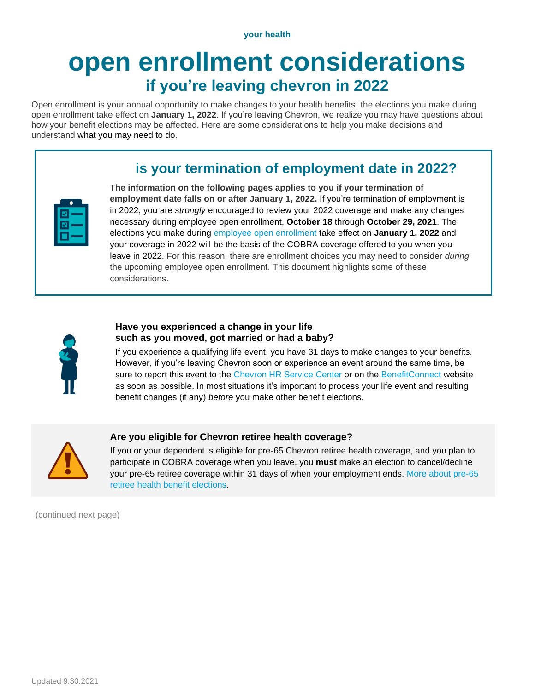**your health**

# **open enrollment considerations if you're leaving chevron in 2022**

Open enrollment is your annual opportunity to make changes to your health benefits; the elections you make during open enrollment take effect on **January 1, 2022**. If you're leaving Chevron, we realize you may have questions about how your benefit elections may be affected. Here are some considerations to help you make decisions and understand what you may need to do.

## **is your termination of employment date in 2022?**

|              | __ |
|--------------|----|
| a sa na      | __ |
| a sa na<br>_ | __ |

**The information on the following pages applies to you if your termination of employment date falls on or after January 1, 2022.** If you're termination of employment is in 2022, you are *strongly* encouraged to review your 2022 coverage and make any changes necessary during employee open enrollment, **October 18** through **October 29, 2021**. The elections you make during [employee open enrollment](https://hr2.chevron.com/openenrollment) take effect on **January 1, 2022** and your coverage in 2022 will be the basis of the COBRA coverage offered to you when you leave in 2022. For this reason, there are enrollment choices you may need to consider *during* the upcoming employee open enrollment. This document highlights some of these considerations.



## **Have you experienced a change in your life such as you moved, got married or had a baby?**

If you experience a qualifying life event, you have 31 days to make changes to your benefits. However, if you're leaving Chevron soon or experience an event around the same time, be sure to report this event to the [Chevron HR Service Center](https://hr2.chevron.com/contacts) or on the [BenefitConnect](https://hr2.chevron.com/BenefitConnect) website as soon as possible. In most situations it's important to process your life event and resulting benefit changes (if any) *before* you make other benefit elections.



## **Are you eligible for Chevron retiree health coverage?**

If you or your dependent is eligible for pre-65 Chevron retiree health coverage, and you plan to participate in COBRA coverage when you leave, you **must** make an election to cancel/decline your pre-65 retiree coverage within 31 days of when your employment ends. [More about pre-65](https://hr2.chevron.com/lifevents/leaving-chevron/leaving-chevron-pre65)  retiree [health benefit elections.](https://hr2.chevron.com/lifevents/leaving-chevron/leaving-chevron-pre65)

(continued next page)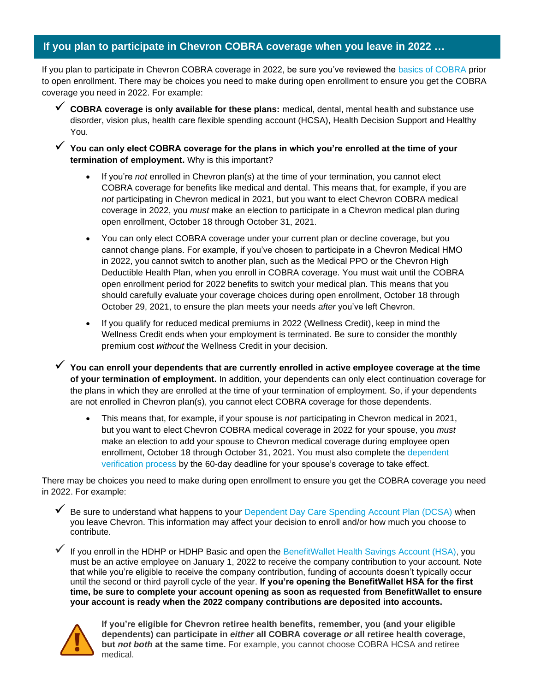## **If you plan to participate in Chevron COBRA coverage when you leave in 2022 …**

If you plan to participate in Chevron COBRA coverage in 2022, be sure you've reviewed the [basics of COBRA](https://hr2.chevron.com/healthplans/COBRA) prior to open enrollment. There may be choices you need to make during open enrollment to ensure you get the COBRA coverage you need in 2022. For example:

- ✓ **COBRA coverage is only available for these plans:** medical, dental, mental health and substance use disorder, vision plus, health care flexible spending account (HCSA), Health Decision Support and Healthy You.
- ✓ **You can only elect COBRA coverage for the plans in which you're enrolled at the time of your termination of employment.** Why is this important?
	- If you're *not* enrolled in Chevron plan(s) at the time of your termination, you cannot elect COBRA coverage for benefits like medical and dental. This means that, for example, if you are not participating in Chevron medical in 2021, but you want to elect Chevron COBRA medical coverage in 2022, you *must* make an election to participate in a Chevron medical plan during open enrollment, October 18 through October 31, 2021.
	- You can only elect COBRA coverage under your current plan or decline coverage, but you cannot change plans. For example, if you've chosen to participate in a Chevron Medical HMO in 2022, you cannot switch to another plan, such as the Medical PPO or the Chevron High Deductible Health Plan, when you enroll in COBRA coverage. You must wait until the COBRA open enrollment period for 2022 benefits to switch your medical plan. This means that you should carefully evaluate your coverage choices during open enrollment, October 18 through October 29, 2021, to ensure the plan meets your needs *after* you've left Chevron.
	- If you qualify for reduced medical premiums in 2022 (Wellness Credit), keep in mind the Wellness Credit ends when your employment is terminated. Be sure to consider the monthly premium cost *without* the Wellness Credit in your decision.

✓ **You can enroll your dependents that are currently enrolled in active employee coverage at the time of your termination of employment.** In addition, your dependents can only elect continuation coverage for the plans in which they are enrolled at the time of your termination of employment. So, if your dependents are not enrolled in Chevron plan(s), you cannot elect COBRA coverage for those dependents.

• This means that, for example, if your spouse is *not* participating in Chevron medical in 2021, but you want to elect Chevron COBRA medical coverage in 2022 for your spouse, you *must*  make an election to add your spouse to Chevron medical coverage during employee open enrollment, October 18 through October 31, 2021. You must also complete the dependent [verification process](https://hr2.chevron.com/healthplans/DependentVerification) by the 60-day deadline for your spouse's coverage to take effect.

There may be choices you need to make during open enrollment to ensure you get the COBRA coverage you need in 2022. For example:

Be sure to understand what happens to your [Dependent Day Care Spending Account Plan \(DCSA\)](https://hr2.chevron.com/Images/N33_GTN_OtherBenefits_FINAL_WEBHWNotElig_tcm36-10349.pdf) when you leave Chevron. This information may affect your decision to enroll and/or how much you choose to contribute.

If you enroll in the HDHP or HDHP Basic and open the [BenefitWallet Health Savings Account \(HSA\),](https://hr2.chevron.com/healthplans/health-accounts/health-savings-account) you must be an active employee on January 1, 2022 to receive the company contribution to your account. Note that while you're eligible to receive the company contribution, funding of accounts doesn't typically occur until the second or third payroll cycle of the year. **If you're opening the BenefitWallet HSA for the first time, be sure to complete your account opening as soon as requested from BenefitWallet to ensure your account is ready when the 2022 company contributions are deposited into accounts.**



**If you're eligible for Chevron retiree health benefits, remember, you (and your eligible dependents) can participate in** *either* **all COBRA coverage** *or* **all retiree health coverage, but** *not both* **at the same time.** For example, you cannot choose COBRA HCSA and retiree medical.